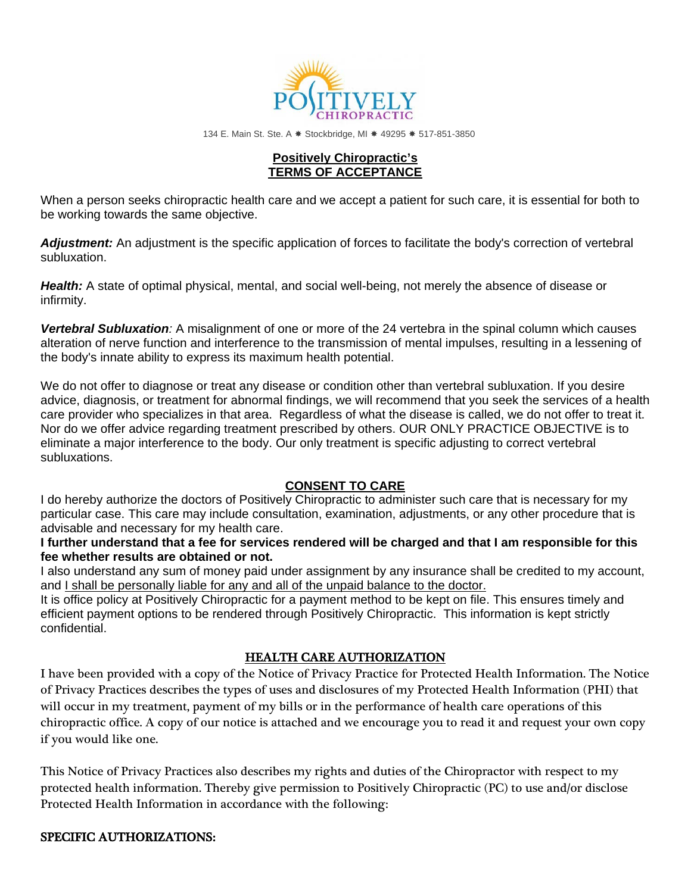

134 E. Main St. Ste. A \* Stockbridge, MI \* 49295 \* 517-851-3850

#### **Positively Chiropractic's TERMS OF ACCEPTANCE**

When a person seeks chiropractic health care and we accept a patient for such care, it is essential for both to be working towards the same objective.

*Adjustment:* An adjustment is the specific application of forces to facilitate the body's correction of vertebral subluxation.

*Health:* A state of optimal physical, mental, and social well-being, not merely the absence of disease or infirmity.

*Vertebral Subluxation:* A misalignment of one or more of the 24 vertebra in the spinal column which causes alteration of nerve function and interference to the transmission of mental impulses, resulting in a lessening of the body's innate ability to express its maximum health potential.

We do not offer to diagnose or treat any disease or condition other than vertebral subluxation. If you desire advice, diagnosis, or treatment for abnormal findings, we will recommend that you seek the services of a health care provider who specializes in that area. Regardless of what the disease is called, we do not offer to treat it. Nor do we offer advice regarding treatment prescribed by others. OUR ONLY PRACTICE OBJECTIVE is to eliminate a major interference to the body. Our only treatment is specific adjusting to correct vertebral subluxations.

### **CONSENT TO CARE**

I do hereby authorize the doctors of Positively Chiropractic to administer such care that is necessary for my particular case. This care may include consultation, examination, adjustments, or any other procedure that is advisable and necessary for my health care.

**I further understand that a fee for services rendered will be charged and that I am responsible for this fee whether results are obtained or not.**

I also understand any sum of money paid under assignment by any insurance shall be credited to my account, and I shall be personally liable for any and all of the unpaid balance to the doctor.

It is office policy at Positively Chiropractic for a payment method to be kept on file. This ensures timely and efficient payment options to be rendered through Positively Chiropractic. This information is kept strictly confidential.

## HEALTH CARE AUTHORIZATION

I have been provided with a copy of the Notice of Privacy Practice for Protected Health Information. The Notice of Privacy Practices describes the types of uses and disclosures of my Protected Health Information (PHI) that will occur in my treatment, payment of my bills or in the performance of health care operations of this chiropractic office. A copy of our notice is attached and we encourage you to read it and request your own copy if you would like one.

This Notice of Privacy Practices also describes my rights and duties of the Chiropractor with respect to my protected health information. Thereby give permission to Positively Chiropractic (PC) to use and/or disclose Protected Health Information in accordance with the following:

### SPECIFIC AUTHORIZATIONS: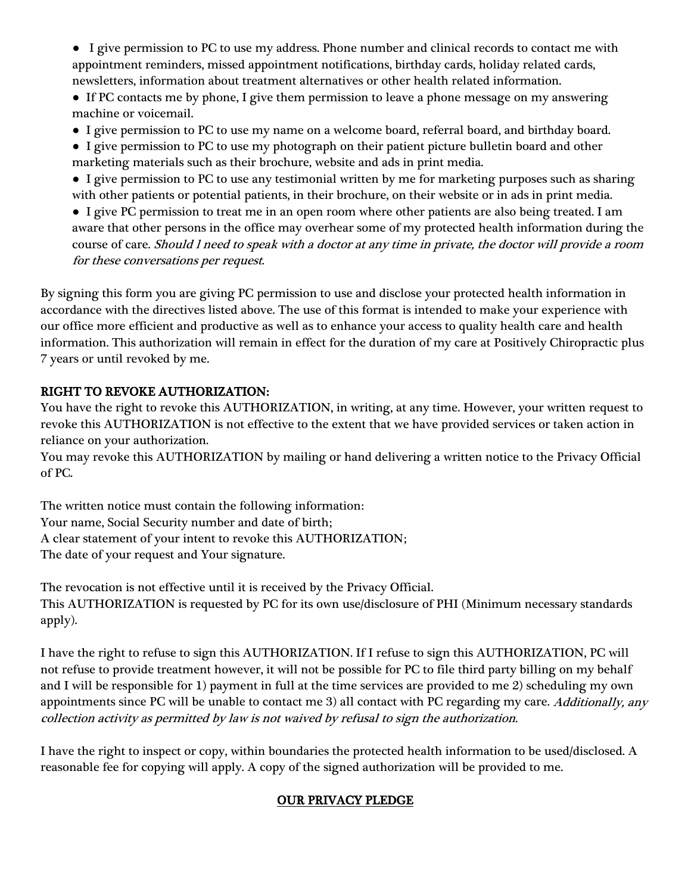● I give permission to PC to use my address. Phone number and clinical records to contact me with appointment reminders, missed appointment notifications, birthday cards, holiday related cards, newsletters, information about treatment alternatives or other health related information.

• If PC contacts me by phone, I give them permission to leave a phone message on my answering machine or voicemail.

- I give permission to PC to use my name on a welcome board, referral board, and birthday board.
- I give permission to PC to use my photograph on their patient picture bulletin board and other marketing materials such as their brochure, website and ads in print media.
- I give permission to PC to use any testimonial written by me for marketing purposes such as sharing with other patients or potential patients, in their brochure, on their website or in ads in print media.

● I give PC permission to treat me in an open room where other patients are also being treated. I am aware that other persons in the office may overhear some of my protected health information during the course of care. Should l need to speak with a doctor at any time in private, the doctor will provide a room for these conversations per request.

By signing this form you are giving PC permission to use and disclose your protected health information in accordance with the directives listed above. The use of this format is intended to make your experience with our office more efficient and productive as well as to enhance your access to quality health care and health information. This authorization will remain in effect for the duration of my care at Positively Chiropractic plus 7 years or until revoked by me.

# RIGHT TO REVOKE AUTHORIZATION:

You have the right to revoke this AUTHORIZATION, in writing, at any time. However, your written request to revoke this AUTHORIZATION is not effective to the extent that we have provided services or taken action in reliance on your authorization.

You may revoke this AUTHORIZATION by mailing or hand delivering a written notice to the Privacy Official of PC.

The written notice must contain the following information: Your name, Social Security number and date of birth; A clear statement of your intent to revoke this AUTHORIZATION; The date of your request and Your signature.

The revocation is not effective until it is received by the Privacy Official. This AUTHORIZATION is requested by PC for its own use/disclosure of PHI (Minimum necessary standards apply).

I have the right to refuse to sign this AUTHORIZATION. If I refuse to sign this AUTHORIZATION, PC will not refuse to provide treatment however, it will not be possible for PC to file third party billing on my behalf and I will be responsible for 1) payment in full at the time services are provided to me 2) scheduling my own appointments since PC will be unable to contact me 3) all contact with PC regarding my care. Additionally, any collection activity as permitted by law is not waived by refusal to sign the authorization.

I have the right to inspect or copy, within boundaries the protected health information to be used/disclosed. A reasonable fee for copying will apply. A copy of the signed authorization will be provided to me.

# OUR PRIVACY PLEDGE